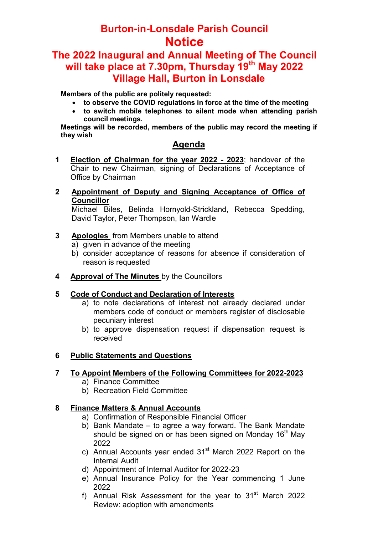## Burton-in-Lonsdale Parish Council **Notice**

## The 2022 Inaugural and Annual Meeting of The Council will take place at 7.30pm, Thursday 19<sup>th</sup> May 2022 Village Hall, Burton in Lonsdale

Members of the public are politely requested:

- to observe the COVID regulations in force at the time of the meeting
- to switch mobile telephones to silent mode when attending parish council meetings.

Meetings will be recorded, members of the public may record the meeting if they wish

## Agenda

- 1 Election of Chairman for the year 2022 2023; handover of the Chair to new Chairman, signing of Declarations of Acceptance of Office by Chairman
- 2 Appointment of Deputy and Signing Acceptance of Office of **Councillor**

Michael Biles, Belinda Hornyold-Strickland, Rebecca Spedding, David Taylor, Peter Thompson, Ian Wardle

- 3 Apologies from Members unable to attend
	- a) given in advance of the meeting
	- b) consider acceptance of reasons for absence if consideration of reason is requested
- 4 Approval of The Minutes by the Councillors

## 5 Code of Conduct and Declaration of Interests

- a) to note declarations of interest not already declared under members code of conduct or members register of disclosable pecuniary interest
- b) to approve dispensation request if dispensation request is received

## 6 Public Statements and Questions

## 7 To Appoint Members of the Following Committees for 2022-2023

- a) Finance Committee
- b) Recreation Field Committee

## 8 Finance Matters & Annual Accounts

- a) Confirmation of Responsible Financial Officer
- b) Bank Mandate to agree a way forward. The Bank Mandate should be signed on or has been signed on Monday 16<sup>th</sup> May 2022
- c) Annual Accounts year ended 31<sup>st</sup> March 2022 Report on the Internal Audit
- d) Appointment of Internal Auditor for 2022-23
- e) Annual Insurance Policy for the Year commencing 1 June 2022
- f) Annual Risk Assessment for the year to  $31<sup>st</sup>$  March 2022 Review: adoption with amendments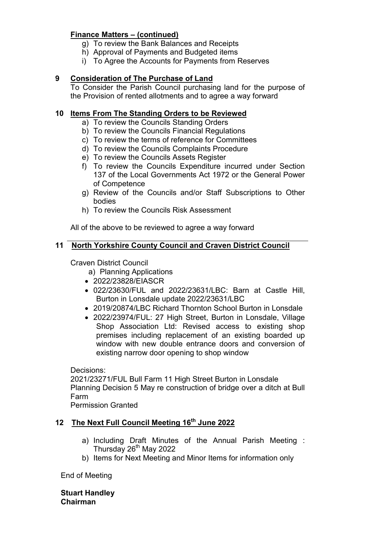## Finance Matters – (continued)

- g) To review the Bank Balances and Receipts
- h) Approval of Payments and Budgeted items
- i) To Agree the Accounts for Payments from Reserves

## 9 Consideration of The Purchase of Land

To Consider the Parish Council purchasing land for the purpose of the Provision of rented allotments and to agree a way forward

## 10 Items From The Standing Orders to be Reviewed

- a) To review the Councils Standing Orders
- b) To review the Councils Financial Regulations
- c) To review the terms of reference for Committees
- d) To review the Councils Complaints Procedure
- e) To review the Councils Assets Register
- f) To review the Councils Expenditure incurred under Section 137 of the Local Governments Act 1972 or the General Power of Competence
- g) Review of the Councils and/or Staff Subscriptions to Other bodies
- h) To review the Councils Risk Assessment

All of the above to be reviewed to agree a way forward

## 11 North Yorkshire County Council and Craven District Council

## Craven District Council

- a) Planning Applications
- 2022/23828/EIASCR
- 022/23630/FUL and 2022/23631/LBC: Barn at Castle Hill, Burton in Lonsdale update 2022/23631/LBC
- 2019/20874/LBC Richard Thornton School Burton in Lonsdale
- 2022/23974/FUL: 27 High Street, Burton in Lonsdale, Village Shop Association Ltd: Revised access to existing shop premises including replacement of an existing boarded up window with new double entrance doors and conversion of existing narrow door opening to shop window

Decisions:

2021/23271/FUL Bull Farm 11 High Street Burton in Lonsdale Planning Decision 5 May re construction of bridge over a ditch at Bull Farm

Permission Granted

## 12 The Next Full Council Meeting 16<sup>th</sup> June 2022

- a) Including Draft Minutes of the Annual Parish Meeting : Thursday  $26<sup>th</sup>$  May 2022
- b) Items for Next Meeting and Minor Items for information only

End of Meeting

Stuart Handley Chairman